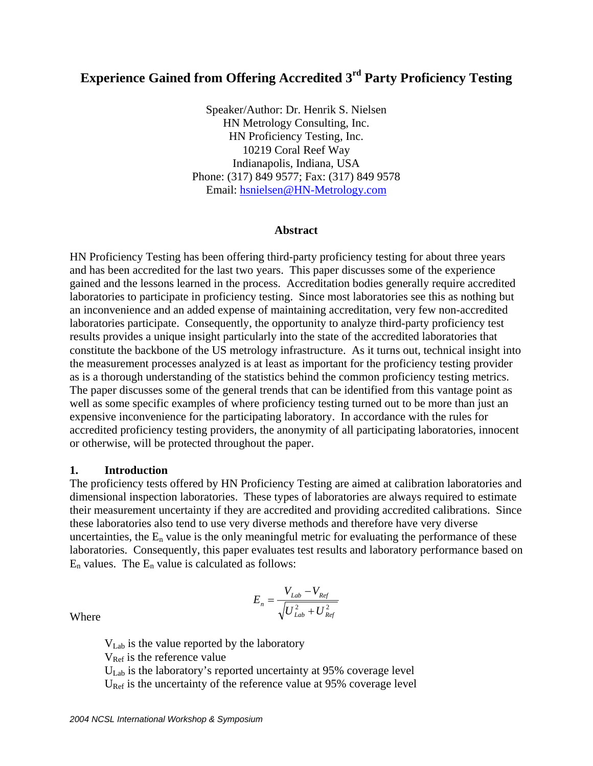# **Experience Gained from Offering Accredited 3rd Party Proficiency Testing**

Speaker/Author: Dr. Henrik S. Nielsen HN Metrology Consulting, Inc. HN Proficiency Testing, Inc. 10219 Coral Reef Way Indianapolis, Indiana, USA Phone: (317) 849 9577; Fax: (317) 849 9578 Email: hsnielsen@HN-Metrology.com

#### **Abstract**

HN Proficiency Testing has been offering third-party proficiency testing for about three years and has been accredited for the last two years. This paper discusses some of the experience gained and the lessons learned in the process. Accreditation bodies generally require accredited laboratories to participate in proficiency testing. Since most laboratories see this as nothing but an inconvenience and an added expense of maintaining accreditation, very few non-accredited laboratories participate. Consequently, the opportunity to analyze third-party proficiency test results provides a unique insight particularly into the state of the accredited laboratories that constitute the backbone of the US metrology infrastructure. As it turns out, technical insight into the measurement processes analyzed is at least as important for the proficiency testing provider as is a thorough understanding of the statistics behind the common proficiency testing metrics. The paper discusses some of the general trends that can be identified from this vantage point as well as some specific examples of where proficiency testing turned out to be more than just an expensive inconvenience for the participating laboratory. In accordance with the rules for accredited proficiency testing providers, the anonymity of all participating laboratories, innocent or otherwise, will be protected throughout the paper.

#### **1. Introduction**

The proficiency tests offered by HN Proficiency Testing are aimed at calibration laboratories and dimensional inspection laboratories. These types of laboratories are always required to estimate their measurement uncertainty if they are accredited and providing accredited calibrations. Since these laboratories also tend to use very diverse methods and therefore have very diverse uncertainties, the  $E_n$  value is the only meaningful metric for evaluating the performance of these laboratories. Consequently, this paper evaluates test results and laboratory performance based on  $E_n$  values. The  $E_n$  value is calculated as follows:

$$
E_n = \frac{V_{Lab} - V_{Ref}}{\sqrt{U_{Lab}^2 + U_{Ref}^2}}
$$

Where

 VLab is the value reported by the laboratory  $V_{\text{Ref}}$  is the reference value  $U_{\text{Lab}}$  is the laboratory's reported uncertainty at 95% coverage level  $U<sub>Ref</sub>$  is the uncertainty of the reference value at 95% coverage level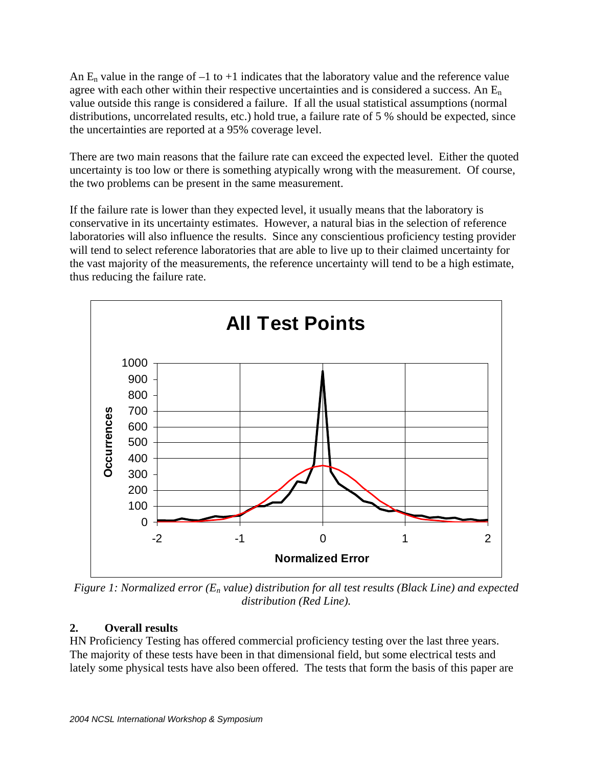An  $E_n$  value in the range of  $-1$  to  $+1$  indicates that the laboratory value and the reference value agree with each other within their respective uncertainties and is considered a success. An  $E_n$ value outside this range is considered a failure. If all the usual statistical assumptions (normal distributions, uncorrelated results, etc.) hold true, a failure rate of 5 % should be expected, since the uncertainties are reported at a 95% coverage level.

There are two main reasons that the failure rate can exceed the expected level. Either the quoted uncertainty is too low or there is something atypically wrong with the measurement. Of course, the two problems can be present in the same measurement.

If the failure rate is lower than they expected level, it usually means that the laboratory is conservative in its uncertainty estimates. However, a natural bias in the selection of reference laboratories will also influence the results. Since any conscientious proficiency testing provider will tend to select reference laboratories that are able to live up to their claimed uncertainty for the vast majority of the measurements, the reference uncertainty will tend to be a high estimate, thus reducing the failure rate.



*Figure 1: Normalized error (En value) distribution for all test results (Black Line) and expected distribution (Red Line).* 

# **2. Overall results**

HN Proficiency Testing has offered commercial proficiency testing over the last three years. The majority of these tests have been in that dimensional field, but some electrical tests and lately some physical tests have also been offered. The tests that form the basis of this paper are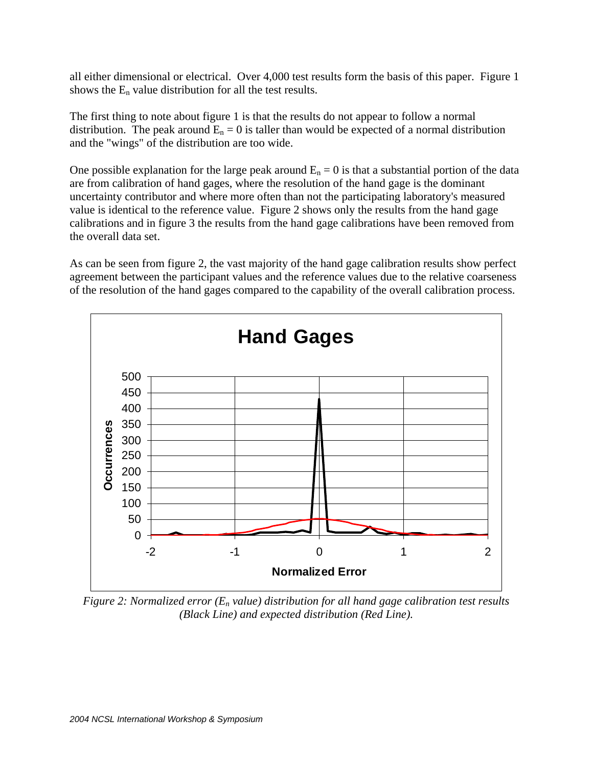all either dimensional or electrical. Over 4,000 test results form the basis of this paper. Figure 1 shows the  $E_n$  value distribution for all the test results.

The first thing to note about figure 1 is that the results do not appear to follow a normal distribution. The peak around  $E_n = 0$  is taller than would be expected of a normal distribution and the "wings" of the distribution are too wide.

One possible explanation for the large peak around  $E_n = 0$  is that a substantial portion of the data are from calibration of hand gages, where the resolution of the hand gage is the dominant uncertainty contributor and where more often than not the participating laboratory's measured value is identical to the reference value. Figure 2 shows only the results from the hand gage calibrations and in figure 3 the results from the hand gage calibrations have been removed from the overall data set.

As can be seen from figure 2, the vast majority of the hand gage calibration results show perfect agreement between the participant values and the reference values due to the relative coarseness of the resolution of the hand gages compared to the capability of the overall calibration process.



*Figure 2: Normalized error (En value) distribution for all hand gage calibration test results (Black Line) and expected distribution (Red Line).*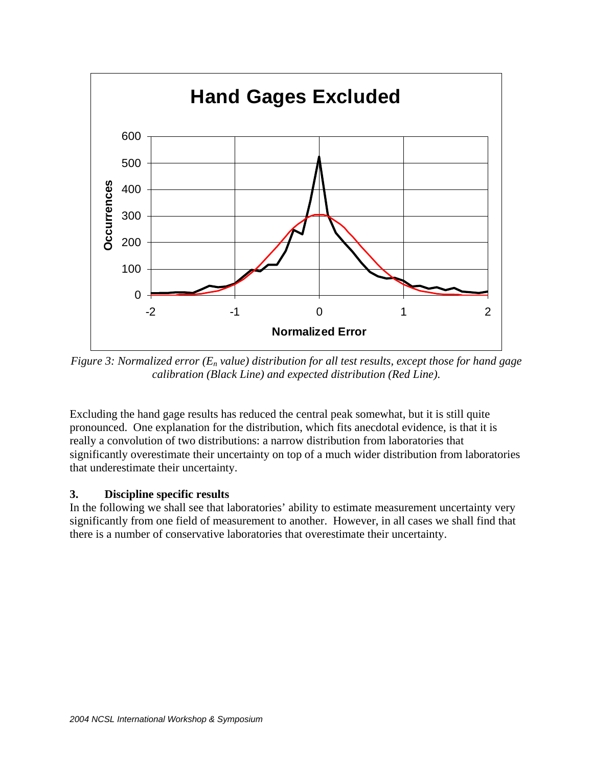

*Figure 3: Normalized error (En value) distribution for all test results, except those for hand gage calibration (Black Line) and expected distribution (Red Line).* 

Excluding the hand gage results has reduced the central peak somewhat, but it is still quite pronounced. One explanation for the distribution, which fits anecdotal evidence, is that it is really a convolution of two distributions: a narrow distribution from laboratories that significantly overestimate their uncertainty on top of a much wider distribution from laboratories that underestimate their uncertainty.

### **3. Discipline specific results**

In the following we shall see that laboratories' ability to estimate measurement uncertainty very significantly from one field of measurement to another. However, in all cases we shall find that there is a number of conservative laboratories that overestimate their uncertainty.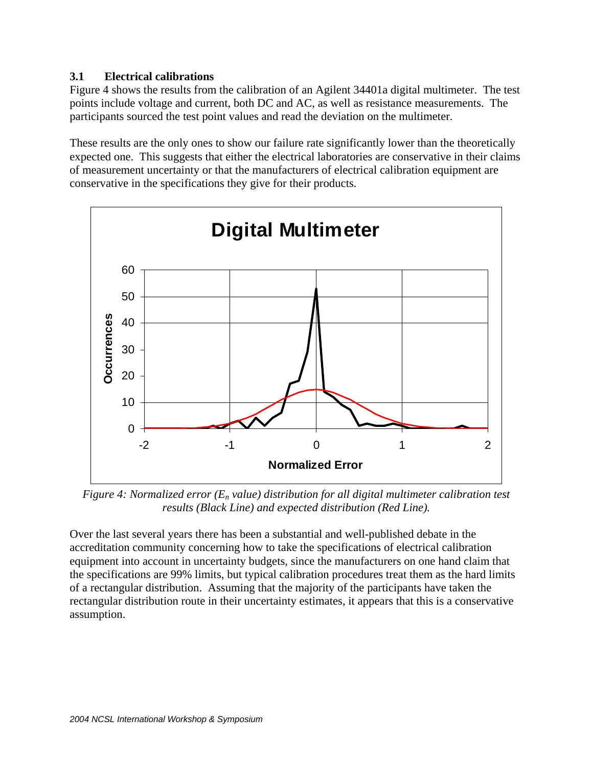# **3.1 Electrical calibrations**

Figure 4 shows the results from the calibration of an Agilent 34401a digital multimeter. The test points include voltage and current, both DC and AC, as well as resistance measurements. The participants sourced the test point values and read the deviation on the multimeter.

These results are the only ones to show our failure rate significantly lower than the theoretically expected one. This suggests that either the electrical laboratories are conservative in their claims of measurement uncertainty or that the manufacturers of electrical calibration equipment are conservative in the specifications they give for their products.



*Figure 4: Normalized error (En value) distribution for all digital multimeter calibration test results (Black Line) and expected distribution (Red Line).* 

Over the last several years there has been a substantial and well-published debate in the accreditation community concerning how to take the specifications of electrical calibration equipment into account in uncertainty budgets, since the manufacturers on one hand claim that the specifications are 99% limits, but typical calibration procedures treat them as the hard limits of a rectangular distribution. Assuming that the majority of the participants have taken the rectangular distribution route in their uncertainty estimates, it appears that this is a conservative assumption.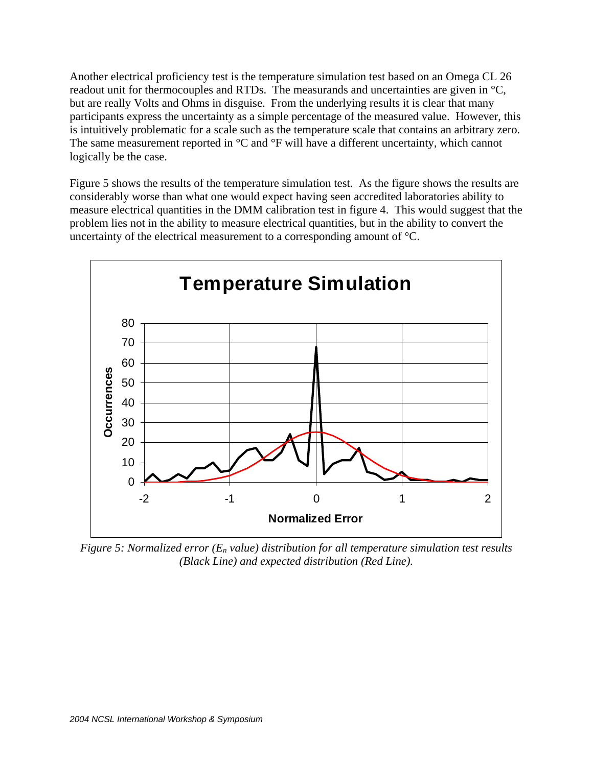Another electrical proficiency test is the temperature simulation test based on an Omega CL 26 readout unit for thermocouples and RTDs. The measurands and uncertainties are given in °C, but are really Volts and Ohms in disguise. From the underlying results it is clear that many participants express the uncertainty as a simple percentage of the measured value. However, this is intuitively problematic for a scale such as the temperature scale that contains an arbitrary zero. The same measurement reported in °C and °F will have a different uncertainty, which cannot logically be the case.

Figure 5 shows the results of the temperature simulation test. As the figure shows the results are considerably worse than what one would expect having seen accredited laboratories ability to measure electrical quantities in the DMM calibration test in figure 4. This would suggest that the problem lies not in the ability to measure electrical quantities, but in the ability to convert the uncertainty of the electrical measurement to a corresponding amount of °C.



*Figure 5: Normalized error (En value) distribution for all temperature simulation test results (Black Line) and expected distribution (Red Line).*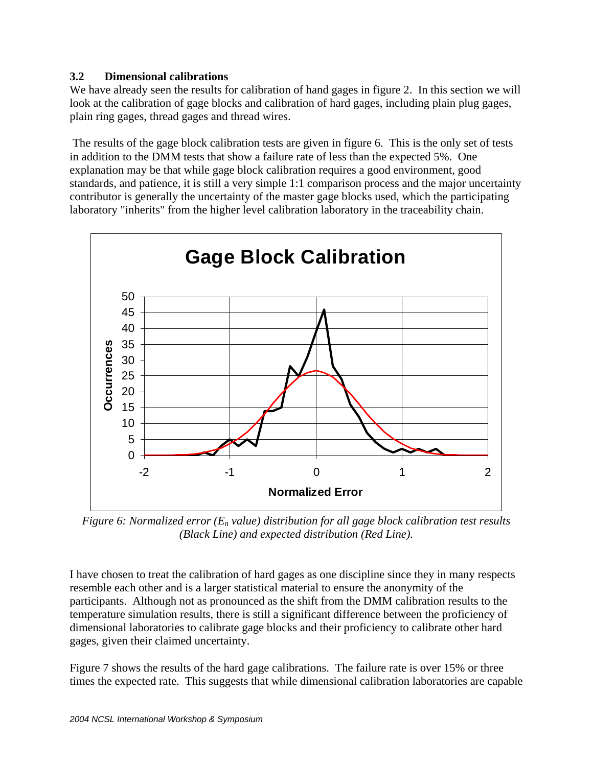## **3.2 Dimensional calibrations**

We have already seen the results for calibration of hand gages in figure 2. In this section we will look at the calibration of gage blocks and calibration of hard gages, including plain plug gages, plain ring gages, thread gages and thread wires.

 The results of the gage block calibration tests are given in figure 6. This is the only set of tests in addition to the DMM tests that show a failure rate of less than the expected 5%. One explanation may be that while gage block calibration requires a good environment, good standards, and patience, it is still a very simple 1:1 comparison process and the major uncertainty contributor is generally the uncertainty of the master gage blocks used, which the participating laboratory "inherits" from the higher level calibration laboratory in the traceability chain.



*Figure 6: Normalized error (En value) distribution for all gage block calibration test results (Black Line) and expected distribution (Red Line).* 

I have chosen to treat the calibration of hard gages as one discipline since they in many respects resemble each other and is a larger statistical material to ensure the anonymity of the participants. Although not as pronounced as the shift from the DMM calibration results to the temperature simulation results, there is still a significant difference between the proficiency of dimensional laboratories to calibrate gage blocks and their proficiency to calibrate other hard gages, given their claimed uncertainty.

Figure 7 shows the results of the hard gage calibrations. The failure rate is over 15% or three times the expected rate. This suggests that while dimensional calibration laboratories are capable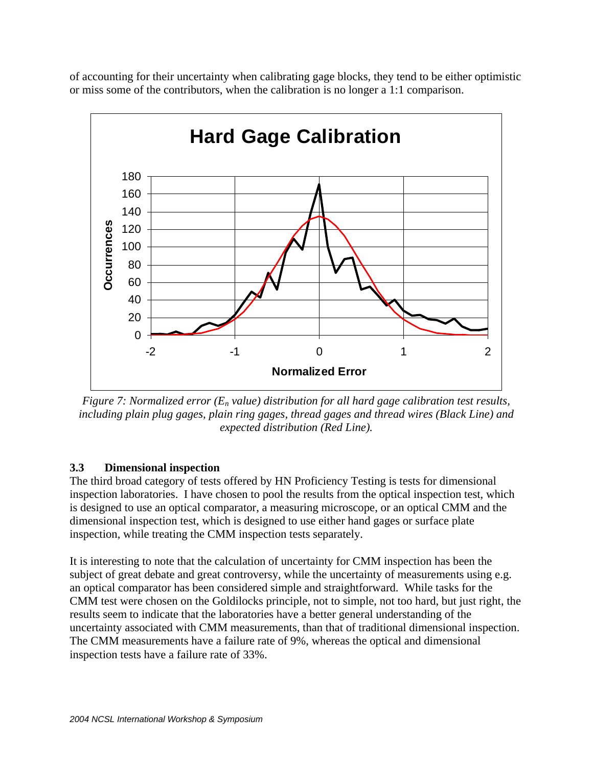of accounting for their uncertainty when calibrating gage blocks, they tend to be either optimistic or miss some of the contributors, when the calibration is no longer a 1:1 comparison.



*Figure 7: Normalized error (En value) distribution for all hard gage calibration test results, including plain plug gages, plain ring gages, thread gages and thread wires (Black Line) and expected distribution (Red Line).*

# **3.3 Dimensional inspection**

The third broad category of tests offered by HN Proficiency Testing is tests for dimensional inspection laboratories. I have chosen to pool the results from the optical inspection test, which is designed to use an optical comparator, a measuring microscope, or an optical CMM and the dimensional inspection test, which is designed to use either hand gages or surface plate inspection, while treating the CMM inspection tests separately.

It is interesting to note that the calculation of uncertainty for CMM inspection has been the subject of great debate and great controversy, while the uncertainty of measurements using e.g. an optical comparator has been considered simple and straightforward. While tasks for the CMM test were chosen on the Goldilocks principle, not to simple, not too hard, but just right, the results seem to indicate that the laboratories have a better general understanding of the uncertainty associated with CMM measurements, than that of traditional dimensional inspection. The CMM measurements have a failure rate of 9%, whereas the optical and dimensional inspection tests have a failure rate of 33%.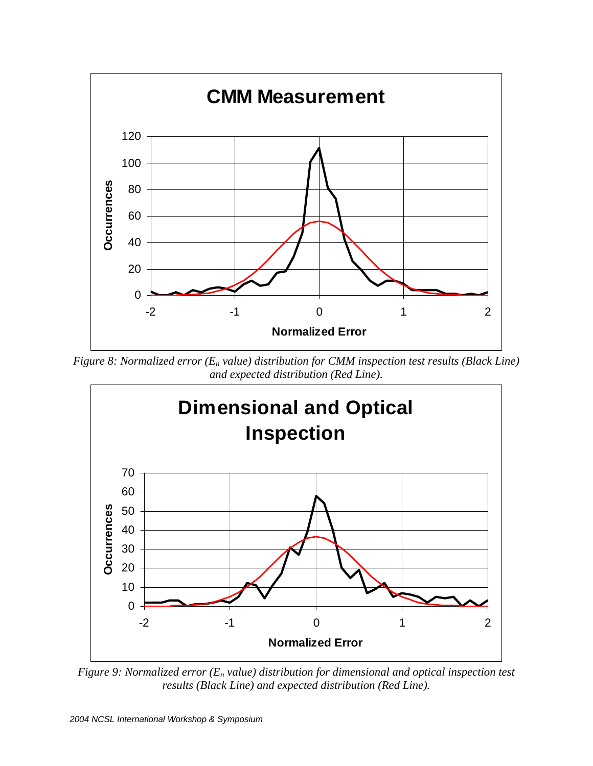

*Figure 8: Normalized error (En value) distribution for CMM inspection test results (Black Line) and expected distribution (Red Line).*



*Figure 9: Normalized error (En value) distribution for dimensional and optical inspection test results (Black Line) and expected distribution (Red Line).*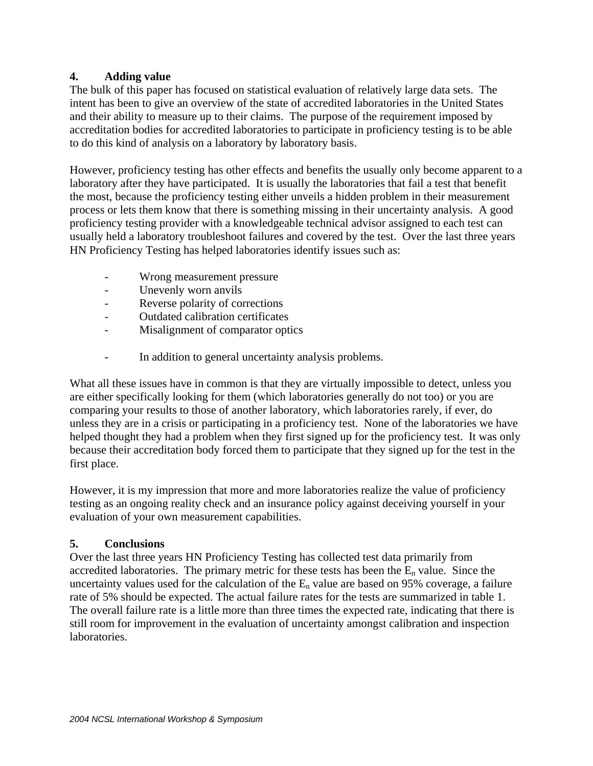## **4. Adding value**

The bulk of this paper has focused on statistical evaluation of relatively large data sets. The intent has been to give an overview of the state of accredited laboratories in the United States and their ability to measure up to their claims. The purpose of the requirement imposed by accreditation bodies for accredited laboratories to participate in proficiency testing is to be able to do this kind of analysis on a laboratory by laboratory basis.

However, proficiency testing has other effects and benefits the usually only become apparent to a laboratory after they have participated. It is usually the laboratories that fail a test that benefit the most, because the proficiency testing either unveils a hidden problem in their measurement process or lets them know that there is something missing in their uncertainty analysis. A good proficiency testing provider with a knowledgeable technical advisor assigned to each test can usually held a laboratory troubleshoot failures and covered by the test. Over the last three years HN Proficiency Testing has helped laboratories identify issues such as:

- Wrong measurement pressure
- Unevenly worn anvils
- Reverse polarity of corrections
- Outdated calibration certificates
- Misalignment of comparator optics
- In addition to general uncertainty analysis problems.

What all these issues have in common is that they are virtually impossible to detect, unless you are either specifically looking for them (which laboratories generally do not too) or you are comparing your results to those of another laboratory, which laboratories rarely, if ever, do unless they are in a crisis or participating in a proficiency test. None of the laboratories we have helped thought they had a problem when they first signed up for the proficiency test. It was only because their accreditation body forced them to participate that they signed up for the test in the first place.

However, it is my impression that more and more laboratories realize the value of proficiency testing as an ongoing reality check and an insurance policy against deceiving yourself in your evaluation of your own measurement capabilities.

### **5. Conclusions**

Over the last three years HN Proficiency Testing has collected test data primarily from accredited laboratories. The primary metric for these tests has been the  $E_n$  value. Since the uncertainty values used for the calculation of the  $E_n$  value are based on 95% coverage, a failure rate of 5% should be expected. The actual failure rates for the tests are summarized in table 1. The overall failure rate is a little more than three times the expected rate, indicating that there is still room for improvement in the evaluation of uncertainty amongst calibration and inspection laboratories.